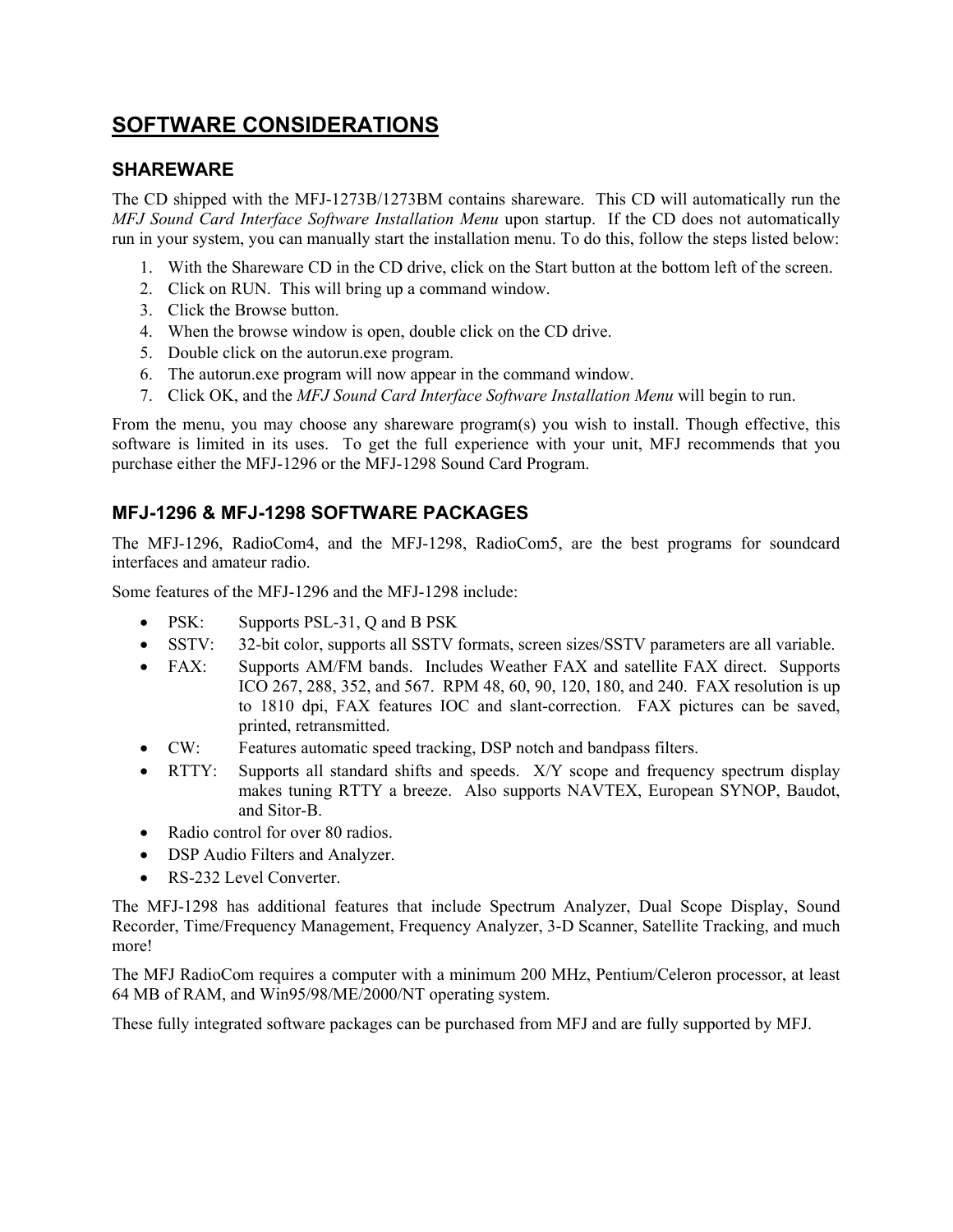### **SOFTWARE CONSIDERATIONS**

#### **SHAREWARE**

The CD shipped with the MFJ-1273B/1273BM contains shareware. This CD will automatically run the *MFJ Sound Card Interface Software Installation Menu* upon startup. If the CD does not automatically run in your system, you can manually start the installation menu. To do this, follow the steps listed below:

- 1. With the Shareware CD in the CD drive, click on the Start button at the bottom left of the screen.
- 2. Click on RUN. This will bring up a command window.
- 3. Click the Browse button.
- 4. When the browse window is open, double click on the CD drive.
- 5. Double click on the autorun.exe program.
- 6. The autorun.exe program will now appear in the command window.
- 7. Click OK, and the *MFJ Sound Card Interface Software Installation Menu* will begin to run.

From the menu, you may choose any shareware program(s) you wish to install. Though effective, this software is limited in its uses. To get the full experience with your unit, MFJ recommends that you purchase either the MFJ-1296 or the MFJ-1298 Sound Card Program.

#### **MFJ-1296 & MFJ-1298 SOFTWARE PACKAGES**

The MFJ-1296, RadioCom4, and the MFJ-1298, RadioCom5, are the best programs for soundcard interfaces and amateur radio.

Some features of the MFJ-1296 and the MFJ-1298 include:

- PSK: Supports PSL-31, Q and B PSK
- SSTV: 32-bit color, supports all SSTV formats, screen sizes/SSTV parameters are all variable.
- FAX: Supports AM/FM bands. Includes Weather FAX and satellite FAX direct. Supports ICO 267, 288, 352, and 567. RPM 48, 60, 90, 120, 180, and 240. FAX resolution is up to 1810 dpi, FAX features IOC and slant-correction. FAX pictures can be saved, printed, retransmitted.
- CW: Features automatic speed tracking, DSP notch and bandpass filters.
- RTTY: Supports all standard shifts and speeds. X/Y scope and frequency spectrum display makes tuning RTTY a breeze. Also supports NAVTEX, European SYNOP, Baudot, and Sitor-B.
- Radio control for over 80 radios.
- DSP Audio Filters and Analyzer.
- RS-232 Level Converter.

The MFJ-1298 has additional features that include Spectrum Analyzer, Dual Scope Display, Sound Recorder, Time/Frequency Management, Frequency Analyzer, 3-D Scanner, Satellite Tracking, and much more!

The MFJ RadioCom requires a computer with a minimum 200 MHz, Pentium/Celeron processor, at least 64 MB of RAM, and Win95/98/ME/2000/NT operating system.

These fully integrated software packages can be purchased from MFJ and are fully supported by MFJ.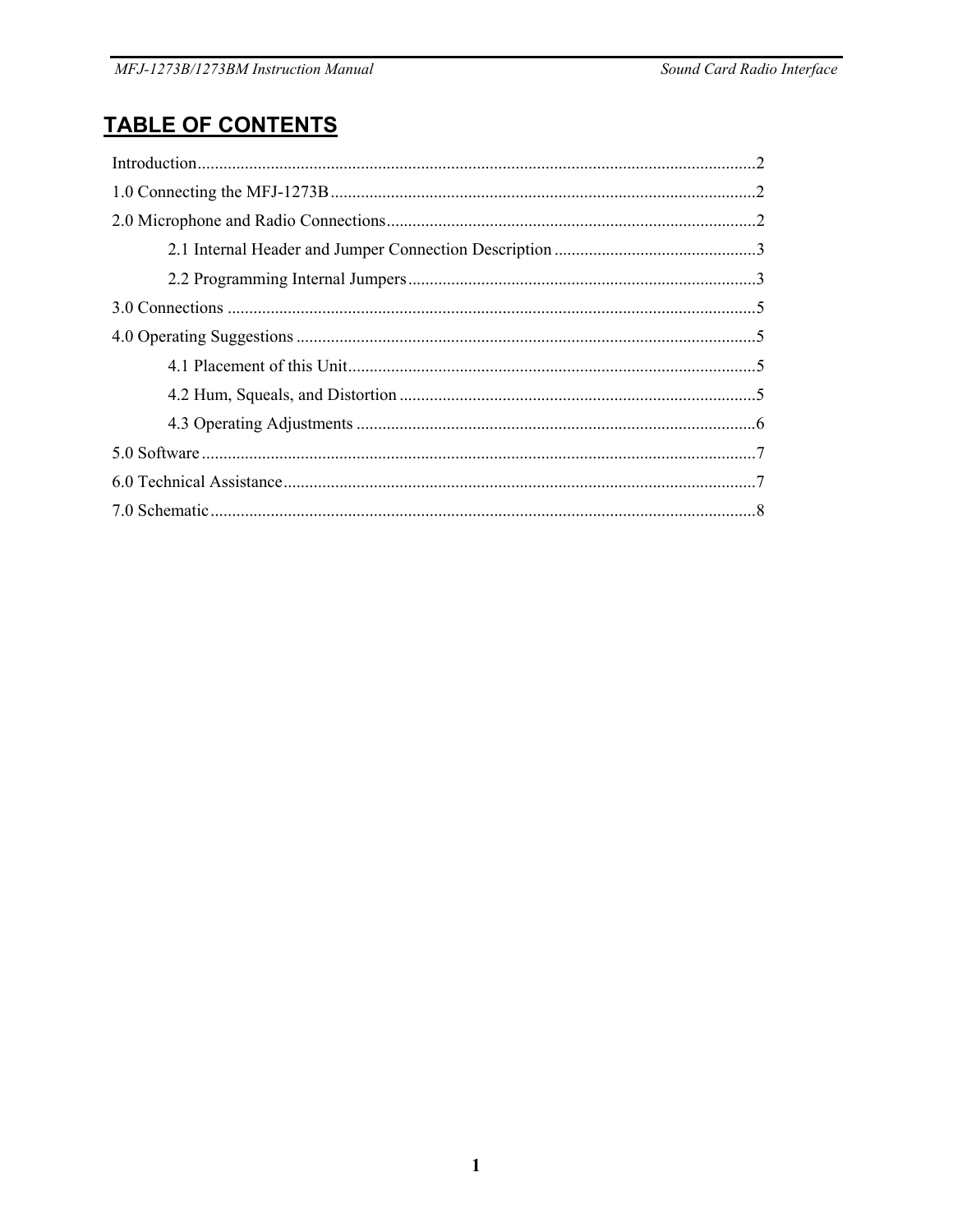# **TABLE OF CONTENTS**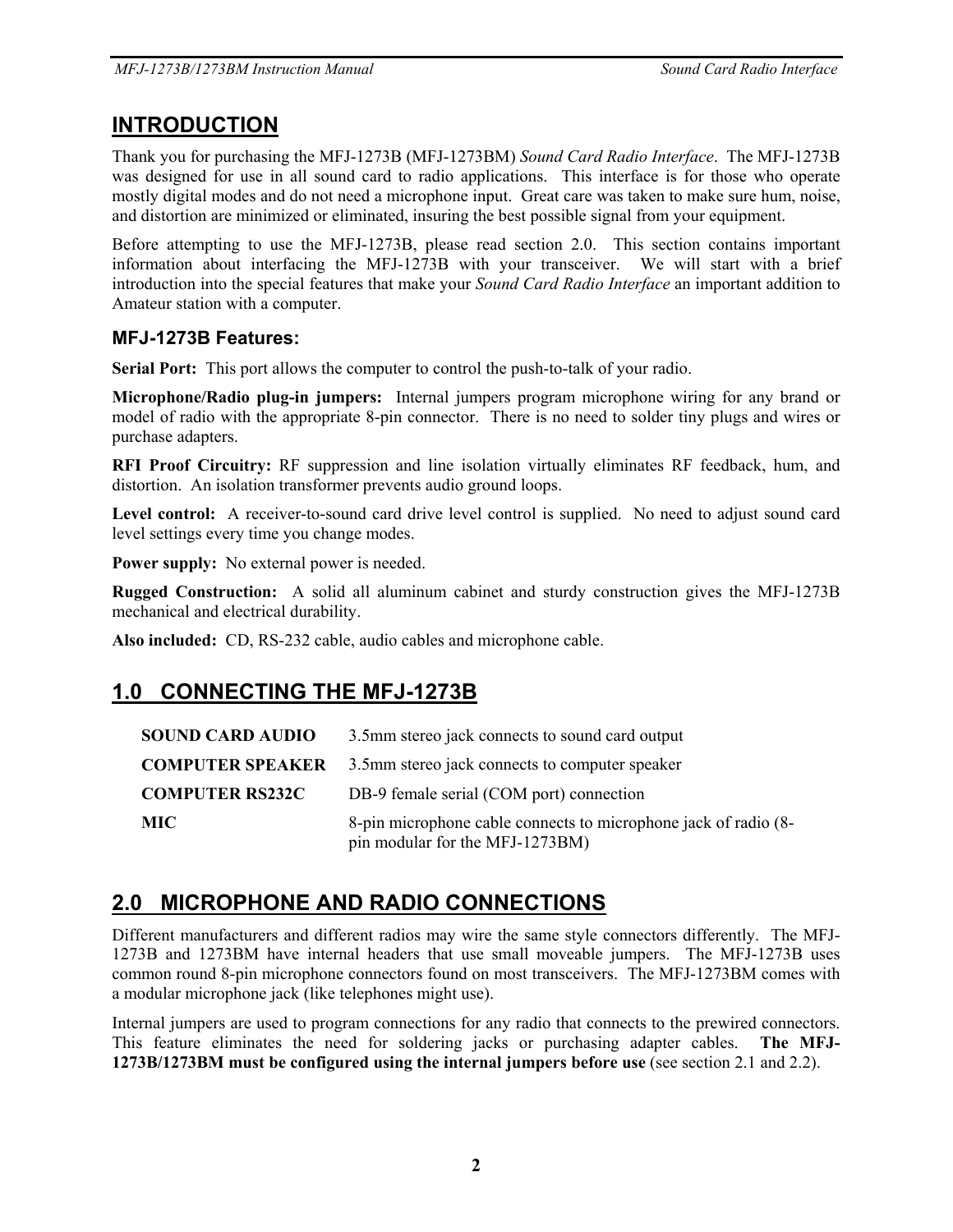### **INTRODUCTION**

Thank you for purchasing the MFJ-1273B (MFJ-1273BM) *Sound Card Radio Interface*. The MFJ-1273B was designed for use in all sound card to radio applications. This interface is for those who operate mostly digital modes and do not need a microphone input. Great care was taken to make sure hum, noise, and distortion are minimized or eliminated, insuring the best possible signal from your equipment.

Before attempting to use the MFJ-1273B, please read section 2.0. This section contains important information about interfacing the MFJ-1273B with your transceiver. We will start with a brief introduction into the special features that make your *Sound Card Radio Interface* an important addition to Amateur station with a computer.

#### **MFJ-1273B Features:**

**Serial Port:** This port allows the computer to control the push-to-talk of your radio.

**Microphone/Radio plug-in jumpers:** Internal jumpers program microphone wiring for any brand or model of radio with the appropriate 8-pin connector. There is no need to solder tiny plugs and wires or purchase adapters.

**RFI Proof Circuitry:** RF suppression and line isolation virtually eliminates RF feedback, hum, and distortion. An isolation transformer prevents audio ground loops.

Level control: A receiver-to-sound card drive level control is supplied. No need to adjust sound card level settings every time you change modes.

**Power supply:** No external power is needed.

**Rugged Construction:** A solid all aluminum cabinet and sturdy construction gives the MFJ-1273B mechanical and electrical durability.

**Also included:** CD, RS-232 cable, audio cables and microphone cable.

## **1.0 CONNECTING THE MFJ-1273B**

| <b>SOUND CARD AUDIO</b> | 3.5mm stereo jack connects to sound card output                                                    |
|-------------------------|----------------------------------------------------------------------------------------------------|
| <b>COMPUTER SPEAKER</b> | 3.5mm stereo jack connects to computer speaker                                                     |
| <b>COMPUTER RS232C</b>  | DB-9 female serial (COM port) connection                                                           |
| <b>MIC</b>              | 8-pin microphone cable connects to microphone jack of radio (8-<br>pin modular for the MFJ-1273BM) |

## **2.0 MICROPHONE AND RADIO CONNECTIONS**

Different manufacturers and different radios may wire the same style connectors differently. The MFJ-1273B and 1273BM have internal headers that use small moveable jumpers. The MFJ-1273B uses common round 8-pin microphone connectors found on most transceivers. The MFJ-1273BM comes with a modular microphone jack (like telephones might use).

Internal jumpers are used to program connections for any radio that connects to the prewired connectors. This feature eliminates the need for soldering jacks or purchasing adapter cables. **The MFJ-1273B/1273BM must be configured using the internal jumpers before use** (see section 2.1 and 2.2).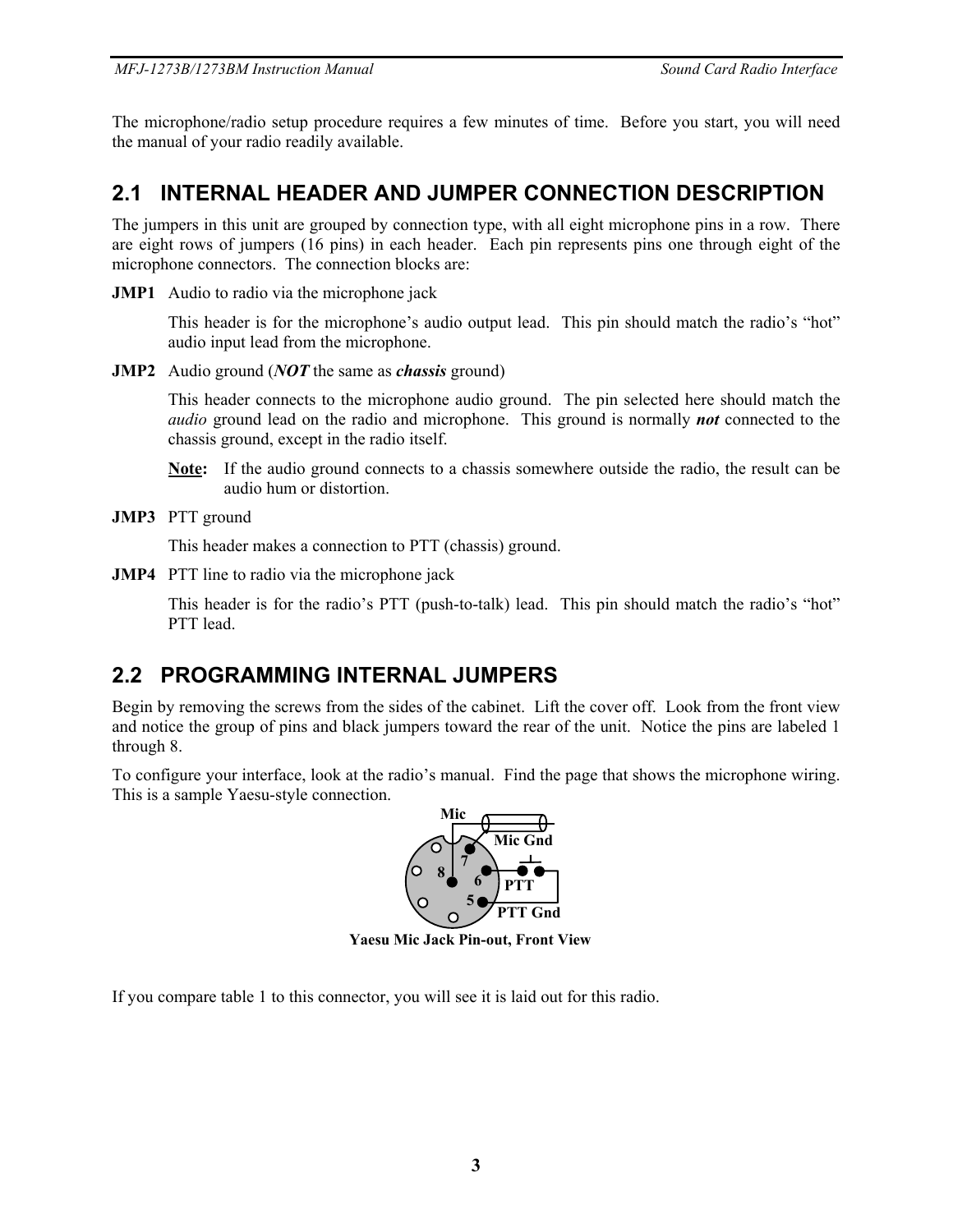The microphone/radio setup procedure requires a few minutes of time. Before you start, you will need the manual of your radio readily available.

### **2.1 INTERNAL HEADER AND JUMPER CONNECTION DESCRIPTION**

The jumpers in this unit are grouped by connection type, with all eight microphone pins in a row. There are eight rows of jumpers (16 pins) in each header. Each pin represents pins one through eight of the microphone connectors. The connection blocks are:

**JMP1** Audio to radio via the microphone jack

This header is for the microphone's audio output lead. This pin should match the radio's "hot" audio input lead from the microphone.

**JMP2** Audio ground (*NOT* the same as *chassis* ground)

This header connects to the microphone audio ground. The pin selected here should match the *audio* ground lead on the radio and microphone. This ground is normally *not* connected to the chassis ground, except in the radio itself.

- **Note:** If the audio ground connects to a chassis somewhere outside the radio, the result can be audio hum or distortion.
- **JMP3** PTT ground

This header makes a connection to PTT (chassis) ground.

**JMP4** PTT line to radio via the microphone jack

This header is for the radio's PTT (push-to-talk) lead. This pin should match the radio's "hot" PTT lead.

### **2.2 PROGRAMMING INTERNAL JUMPERS**

Begin by removing the screws from the sides of the cabinet. Lift the cover off. Look from the front view and notice the group of pins and black jumpers toward the rear of the unit. Notice the pins are labeled 1 through 8.

To configure your interface, look at the radio's manual. Find the page that shows the microphone wiring. This is a sample Yaesu-style connection.



**Yaesu Mic Jack Pin-out, Front View**

If you compare table 1 to this connector, you will see it is laid out for this radio.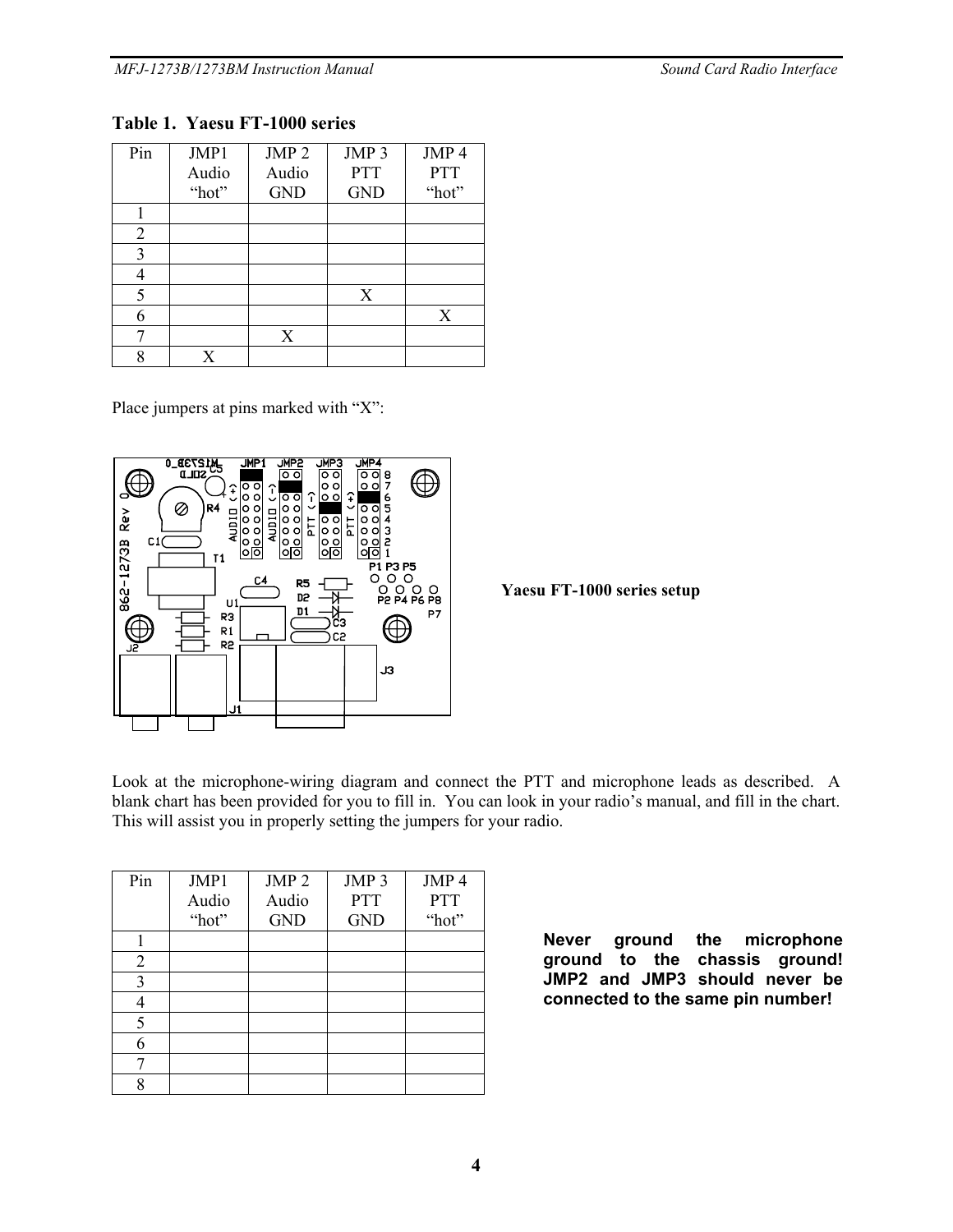#### **Table 1. Yaesu FT-1000 series**

| Pin | JMP1  | JMP <sub>2</sub> | JMP <sub>3</sub> | JMP 4      |
|-----|-------|------------------|------------------|------------|
|     | Audio | Audio            | <b>PTT</b>       | <b>PTT</b> |
|     | "hot" | <b>GND</b>       | <b>GND</b>       | "hot"      |
|     |       |                  |                  |            |
| 2   |       |                  |                  |            |
| 3   |       |                  |                  |            |
|     |       |                  |                  |            |
| 5   |       |                  | X                |            |
| 6   |       |                  |                  | X          |
|     |       | X                |                  |            |
| Q   | X     |                  |                  |            |

Place jumpers at pins marked with "X":



**Yaesu FT-1000 series setup** 

Look at the microphone-wiring diagram and connect the PTT and microphone leads as described. A blank chart has been provided for you to fill in. You can look in your radio's manual, and fill in the chart. This will assist you in properly setting the jumpers for your radio.

| Pin | JMP1<br>Audio<br>"hot" | JMP <sub>2</sub><br>Audio<br><b>GND</b> | JMP <sub>3</sub><br><b>PTT</b><br><b>GND</b> | JMP <sub>4</sub><br><b>PTT</b><br>"hot" |
|-----|------------------------|-----------------------------------------|----------------------------------------------|-----------------------------------------|
|     |                        |                                         |                                              |                                         |
| 2   |                        |                                         |                                              |                                         |
| 3   |                        |                                         |                                              |                                         |
|     |                        |                                         |                                              |                                         |
| 5   |                        |                                         |                                              |                                         |
| 6   |                        |                                         |                                              |                                         |
| ⇁   |                        |                                         |                                              |                                         |
| o   |                        |                                         |                                              |                                         |

**Never ground the microphone ground to the chassis ground! JMP2 and JMP3 should never be connected to the same pin number!**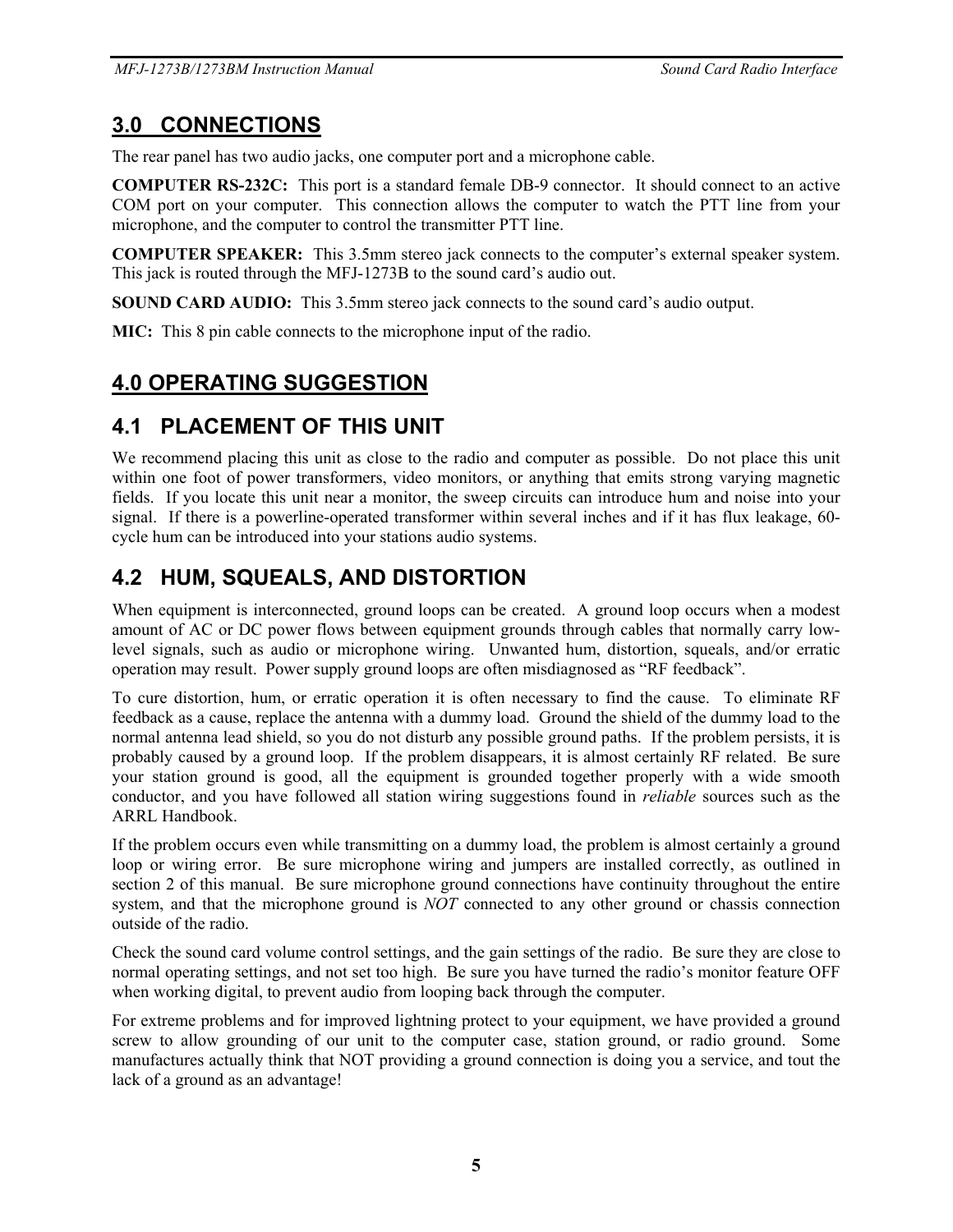### **3.0 CONNECTIONS**

The rear panel has two audio jacks, one computer port and a microphone cable.

**COMPUTER RS-232C:** This port is a standard female DB-9 connector. It should connect to an active COM port on your computer. This connection allows the computer to watch the PTT line from your microphone, and the computer to control the transmitter PTT line.

**COMPUTER SPEAKER:** This 3.5mm stereo jack connects to the computer's external speaker system. This jack is routed through the MFJ-1273B to the sound card's audio out.

**SOUND CARD AUDIO:** This 3.5mm stereo jack connects to the sound card's audio output.

**MIC:** This 8 pin cable connects to the microphone input of the radio.

# **4.0 OPERATING SUGGESTION**

## **4.1 PLACEMENT OF THIS UNIT**

We recommend placing this unit as close to the radio and computer as possible. Do not place this unit within one foot of power transformers, video monitors, or anything that emits strong varying magnetic fields. If you locate this unit near a monitor, the sweep circuits can introduce hum and noise into your signal. If there is a powerline-operated transformer within several inches and if it has flux leakage, 60 cycle hum can be introduced into your stations audio systems.

## **4.2 HUM, SQUEALS, AND DISTORTION**

When equipment is interconnected, ground loops can be created. A ground loop occurs when a modest amount of AC or DC power flows between equipment grounds through cables that normally carry lowlevel signals, such as audio or microphone wiring. Unwanted hum, distortion, squeals, and/or erratic operation may result. Power supply ground loops are often misdiagnosed as "RF feedback".

To cure distortion, hum, or erratic operation it is often necessary to find the cause. To eliminate RF feedback as a cause, replace the antenna with a dummy load. Ground the shield of the dummy load to the normal antenna lead shield, so you do not disturb any possible ground paths. If the problem persists, it is probably caused by a ground loop. If the problem disappears, it is almost certainly RF related. Be sure your station ground is good, all the equipment is grounded together properly with a wide smooth conductor, and you have followed all station wiring suggestions found in *reliable* sources such as the ARRL Handbook.

If the problem occurs even while transmitting on a dummy load, the problem is almost certainly a ground loop or wiring error. Be sure microphone wiring and jumpers are installed correctly, as outlined in section 2 of this manual. Be sure microphone ground connections have continuity throughout the entire system, and that the microphone ground is *NOT* connected to any other ground or chassis connection outside of the radio.

Check the sound card volume control settings, and the gain settings of the radio. Be sure they are close to normal operating settings, and not set too high. Be sure you have turned the radio's monitor feature OFF when working digital, to prevent audio from looping back through the computer.

For extreme problems and for improved lightning protect to your equipment, we have provided a ground screw to allow grounding of our unit to the computer case, station ground, or radio ground. Some manufactures actually think that NOT providing a ground connection is doing you a service, and tout the lack of a ground as an advantage!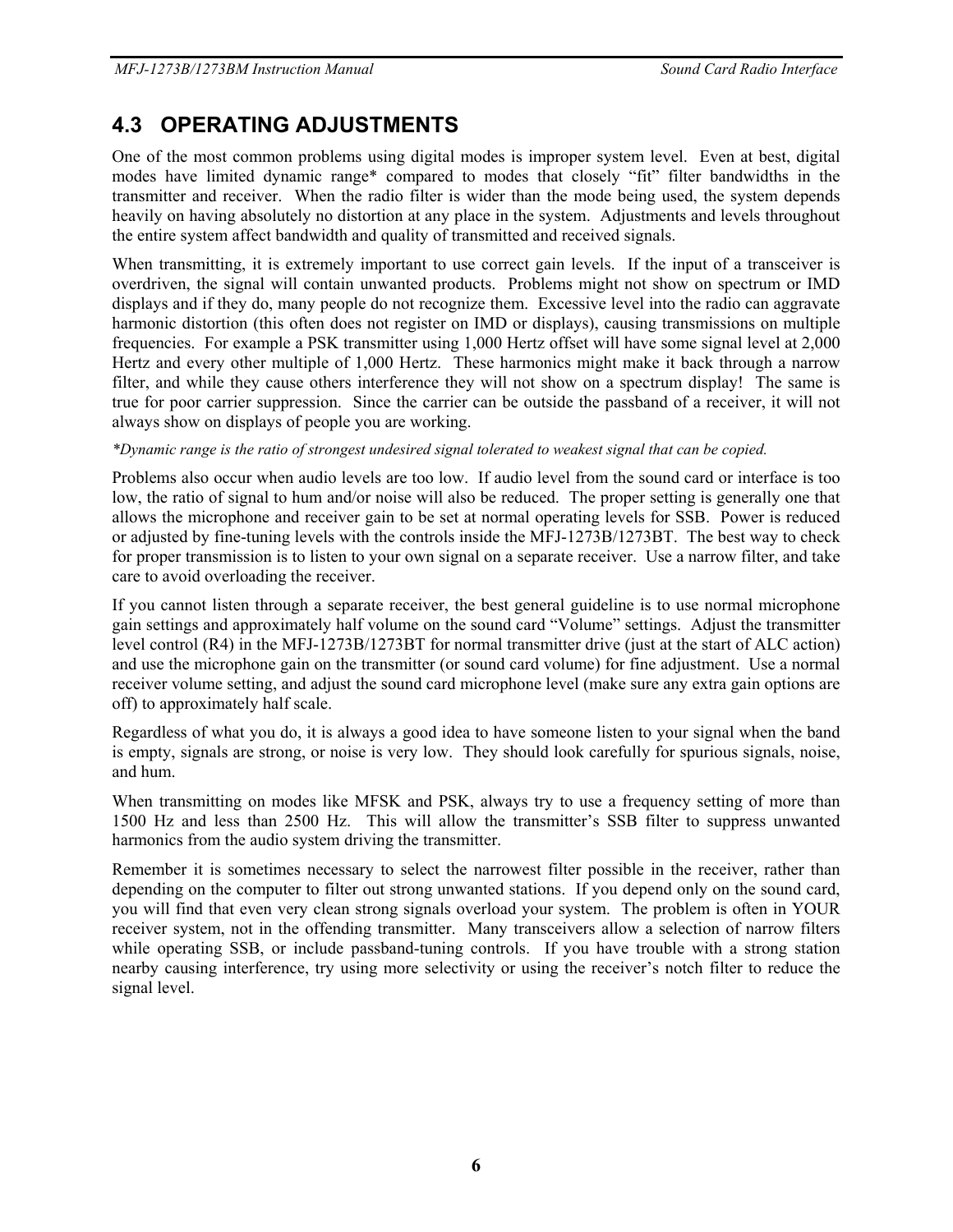## **4.3 OPERATING ADJUSTMENTS**

One of the most common problems using digital modes is improper system level. Even at best, digital modes have limited dynamic range\* compared to modes that closely "fit" filter bandwidths in the transmitter and receiver. When the radio filter is wider than the mode being used, the system depends heavily on having absolutely no distortion at any place in the system. Adjustments and levels throughout the entire system affect bandwidth and quality of transmitted and received signals.

When transmitting, it is extremely important to use correct gain levels. If the input of a transceiver is overdriven, the signal will contain unwanted products. Problems might not show on spectrum or IMD displays and if they do, many people do not recognize them. Excessive level into the radio can aggravate harmonic distortion (this often does not register on IMD or displays), causing transmissions on multiple frequencies. For example a PSK transmitter using 1,000 Hertz offset will have some signal level at 2,000 Hertz and every other multiple of 1,000 Hertz. These harmonics might make it back through a narrow filter, and while they cause others interference they will not show on a spectrum display! The same is true for poor carrier suppression. Since the carrier can be outside the passband of a receiver, it will not always show on displays of people you are working.

*\*Dynamic range is the ratio of strongest undesired signal tolerated to weakest signal that can be copied.*

Problems also occur when audio levels are too low. If audio level from the sound card or interface is too low, the ratio of signal to hum and/or noise will also be reduced. The proper setting is generally one that allows the microphone and receiver gain to be set at normal operating levels for SSB. Power is reduced or adjusted by fine-tuning levels with the controls inside the MFJ-1273B/1273BT. The best way to check for proper transmission is to listen to your own signal on a separate receiver. Use a narrow filter, and take care to avoid overloading the receiver.

If you cannot listen through a separate receiver, the best general guideline is to use normal microphone gain settings and approximately half volume on the sound card "Volume" settings. Adjust the transmitter level control (R4) in the MFJ-1273B/1273BT for normal transmitter drive (just at the start of ALC action) and use the microphone gain on the transmitter (or sound card volume) for fine adjustment. Use a normal receiver volume setting, and adjust the sound card microphone level (make sure any extra gain options are off) to approximately half scale.

Regardless of what you do, it is always a good idea to have someone listen to your signal when the band is empty, signals are strong, or noise is very low. They should look carefully for spurious signals, noise, and hum.

When transmitting on modes like MFSK and PSK, always try to use a frequency setting of more than 1500 Hz and less than 2500 Hz. This will allow the transmitter's SSB filter to suppress unwanted harmonics from the audio system driving the transmitter.

Remember it is sometimes necessary to select the narrowest filter possible in the receiver, rather than depending on the computer to filter out strong unwanted stations. If you depend only on the sound card, you will find that even very clean strong signals overload your system. The problem is often in YOUR receiver system, not in the offending transmitter. Many transceivers allow a selection of narrow filters while operating SSB, or include passband-tuning controls. If you have trouble with a strong station nearby causing interference, try using more selectivity or using the receiver's notch filter to reduce the signal level.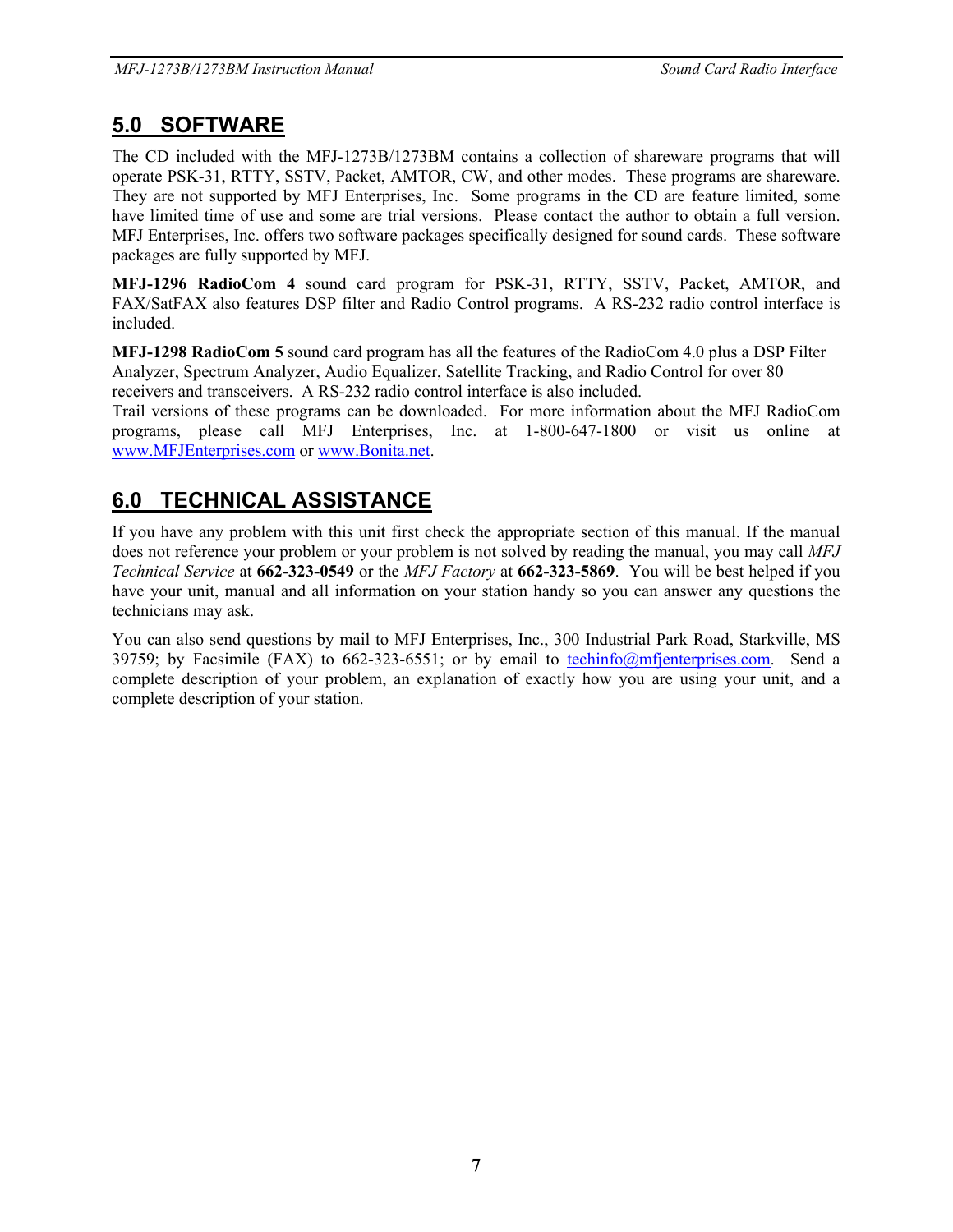### **5.0 SOFTWARE**

The CD included with the MFJ-1273B/1273BM contains a collection of shareware programs that will operate PSK-31, RTTY, SSTV, Packet, AMTOR, CW, and other modes. These programs are shareware. They are not supported by MFJ Enterprises, Inc. Some programs in the CD are feature limited, some have limited time of use and some are trial versions. Please contact the author to obtain a full version. MFJ Enterprises, Inc. offers two software packages specifically designed for sound cards. These software packages are fully supported by MFJ.

**MFJ-1296 RadioCom 4** sound card program for PSK-31, RTTY, SSTV, Packet, AMTOR, and FAX/SatFAX also features DSP filter and Radio Control programs. A RS-232 radio control interface is included.

**MFJ-1298 RadioCom 5** sound card program has all the features of the RadioCom 4.0 plus a DSP Filter Analyzer, Spectrum Analyzer, Audio Equalizer, Satellite Tracking, and Radio Control for over 80 receivers and transceivers. A RS-232 radio control interface is also included.

Trail versions of these programs can be downloaded. For more information about the MFJ RadioCom programs, please call MFJ Enterprises, Inc. at 1-800-647-1800 or visit us online at www.MFJEnterprises.com or www.Bonita.net.

## **6.0 TECHNICAL ASSISTANCE**

If you have any problem with this unit first check the appropriate section of this manual. If the manual does not reference your problem or your problem is not solved by reading the manual, you may call *MFJ Technical Service* at **662-323-0549** or the *MFJ Factory* at **662-323-5869**. You will be best helped if you have your unit, manual and all information on your station handy so you can answer any questions the technicians may ask.

You can also send questions by mail to MFJ Enterprises, Inc., 300 Industrial Park Road, Starkville, MS 39759; by Facsimile (FAX) to 662-323-6551; or by email to techinfo@mfienterprises.com. Send a complete description of your problem, an explanation of exactly how you are using your unit, and a complete description of your station.